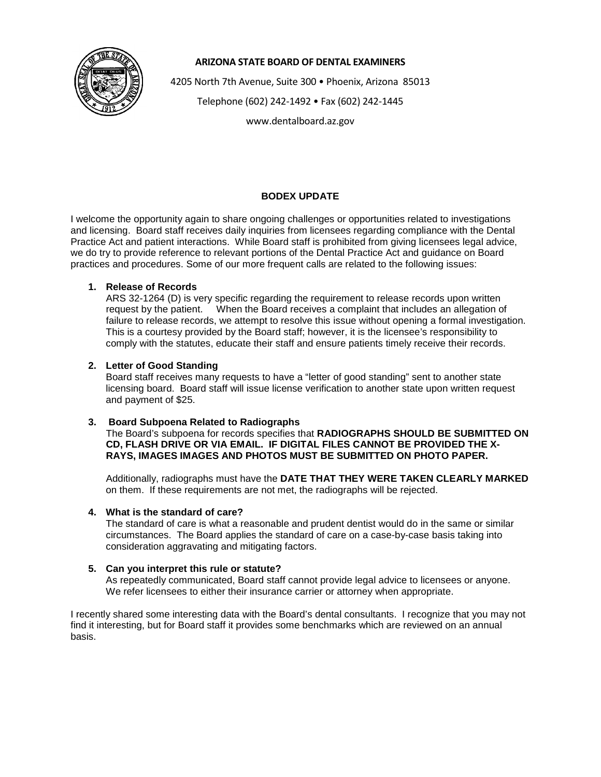

## **ARIZONA STATE BOARD OF DENTAL EXAMINERS**

4205 North 7th Avenue, Suite 300 • Phoenix, Arizona 85013

Telephone (602) 242-1492 • Fax (602) 242-1445

www.dentalboard.az.gov

# **BODEX UPDATE**

I welcome the opportunity again to share ongoing challenges or opportunities related to investigations and licensing. Board staff receives daily inquiries from licensees regarding compliance with the Dental Practice Act and patient interactions. While Board staff is prohibited from giving licensees legal advice, we do try to provide reference to relevant portions of the Dental Practice Act and guidance on Board practices and procedures. Some of our more frequent calls are related to the following issues:

## **1. Release of Records**

ARS 32-1264 (D) is very specific regarding the requirement to release records upon written request by the patient. When the Board receives a complaint that includes an allegation of failure to release records, we attempt to resolve this issue without opening a formal investigation. This is a courtesy provided by the Board staff; however, it is the licensee's responsibility to comply with the statutes, educate their staff and ensure patients timely receive their records.

### **2. Letter of Good Standing**

Board staff receives many requests to have a "letter of good standing" sent to another state licensing board. Board staff will issue license verification to another state upon written request and payment of \$25.

### **3. Board Subpoena Related to Radiographs**

The Board's subpoena for records specifies that **RADIOGRAPHS SHOULD BE SUBMITTED ON CD, FLASH DRIVE OR VIA EMAIL. IF DIGITAL FILES CANNOT BE PROVIDED THE X-RAYS, IMAGES IMAGES AND PHOTOS MUST BE SUBMITTED ON PHOTO PAPER.**

Additionally, radiographs must have the **DATE THAT THEY WERE TAKEN CLEARLY MARKED** on them. If these requirements are not met, the radiographs will be rejected.

### **4. What is the standard of care?**

The standard of care is what a reasonable and prudent dentist would do in the same or similar circumstances. The Board applies the standard of care on a case-by-case basis taking into consideration aggravating and mitigating factors.

### **5. Can you interpret this rule or statute?**

As repeatedly communicated, Board staff cannot provide legal advice to licensees or anyone. We refer licensees to either their insurance carrier or attorney when appropriate.

I recently shared some interesting data with the Board's dental consultants. I recognize that you may not find it interesting, but for Board staff it provides some benchmarks which are reviewed on an annual basis.